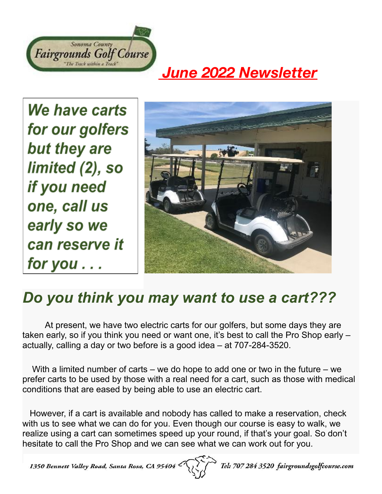

## *June 2022 Newsletter*

We have carts for our golfers but they are limited (2), so if you need one, call us early so we can reserve it for you . . .



## *Do you think you may want to use a cart???*

At present, we have two electric carts for our golfers, but some days they are taken early, so if you think you need or want one, it's best to call the Pro Shop early – actually, calling a day or two before is a good idea – at 707-284-3520.

With a limited number of carts – we do hope to add one or two in the future – we prefer carts to be used by those with a real need for a cart, such as those with medical conditions that are eased by being able to use an electric cart.

However, if a cart is available and nobody has called to make a reservation, check with us to see what we can do for you. Even though our course is easy to walk, we realize using a cart can sometimes speed up your round, if that's your goal. So don't hesitate to call the Pro Shop and we can see what we can work out for you.

1350 Bennett Valley Road, Santa Rosa, CA 9540